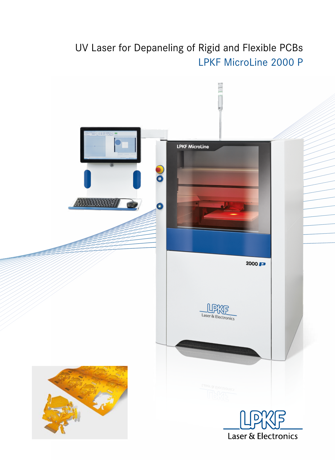# UV Laser for Depaneling of Rigid and Flexible PCBs LPKF MicroLine 2000 P